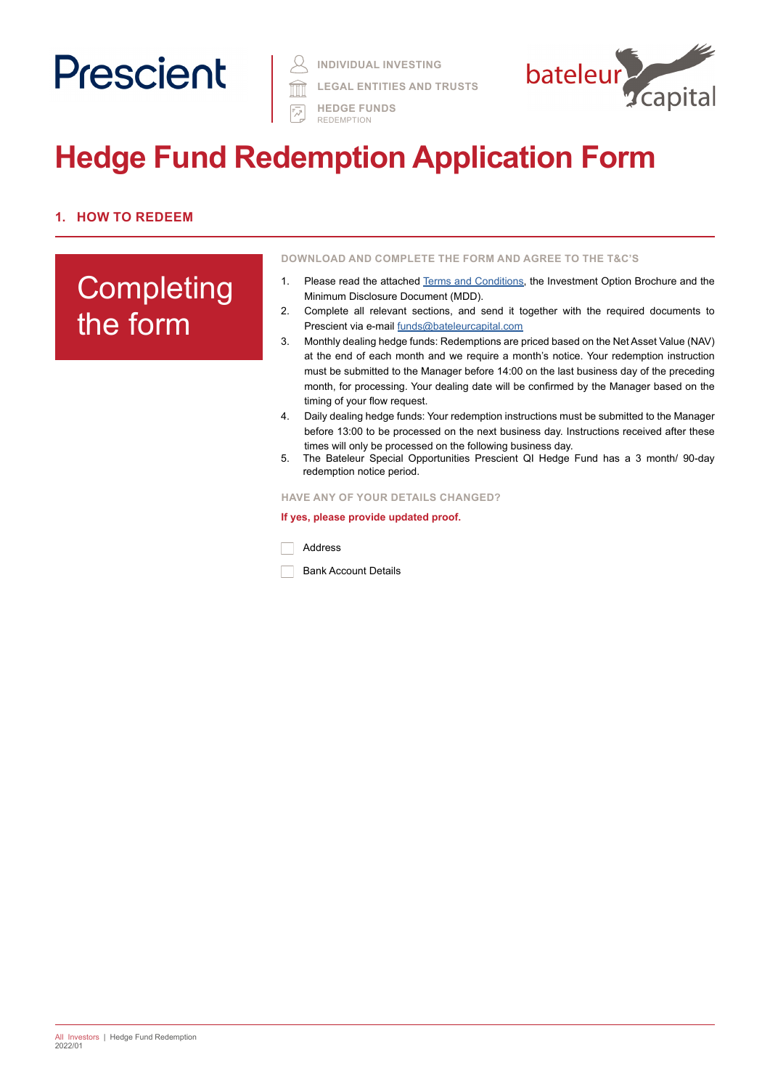# Prescient |

**INDIVIDUAL INVESTING**

**LEGAL ENTITIES AND TRUSTS** 



京 HEDGE FUNDS REDEMPTION

# **Hedge Fund Redemption Application Form**

# **1. HOW TO REDEEM**

# **Completing** the form

**DOWNLOAD AND COMPLETE THE FORM AND AGREE TO THE T&C'S**

- 1. Please read the attached [Terms and Conditions](https://www.prescient.co.za/media/de4hvtza/prescient-hedge-fund-terms-conditions.pdf), the Investment Option Brochure and the Minimum Disclosure Document (MDD).
- 2. Complete all relevant sections, and send it together with the required documents to Prescient via e-mail [funds@bateleurcapital.com](mailto:funds%40bateleurcapital.com?subject=Hedge%20Fund%20Redemption%20Application%20Form)
- 3. Monthly dealing hedge funds: Redemptions are priced based on the Net Asset Value (NAV) at the end of each month and we require a month's notice. Your redemption instruction must be submitted to the Manager before 14:00 on the last business day of the preceding month, for processing. Your dealing date will be confirmed by the Manager based on the timing of your flow request.
- 4. Daily dealing hedge funds: Your redemption instructions must be submitted to the Manager before 13:00 to be processed on the next business day. Instructions received after these times will only be processed on the following business day.
- 5. The Bateleur Special Opportunities Prescient QI Hedge Fund has a 3 month/ 90-day redemption notice period.

#### **HAVE ANY OF YOUR DETAILS CHANGED?**

#### **If yes, please provide updated proof.**

Address

Bank Account Details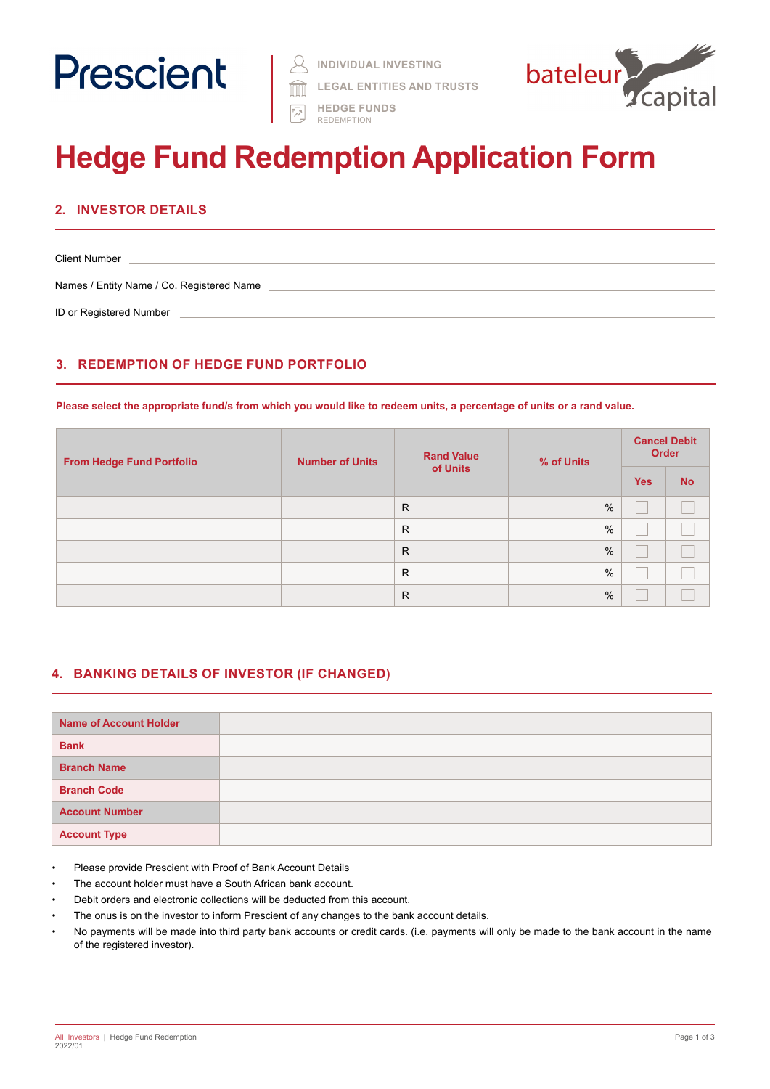

**LEGAL ENTITIES AND TRUSTS** 



**FM** HEDGE FUNDS REDEMPTION

# **Hedge Fund Redemption Application Form**

## **2. INVESTOR DETAILS**

Client Number Names / Entity Name / Co. Registered Name ID or Registered Number

# **3. REDEMPTION OF HEDGE FUND PORTFOLIO**

**Please select the appropriate fund/s from which you would like to redeem units, a percentage of units or a rand value.**

| <b>From Hedge Fund Portfolio</b> | <b>Number of Units</b> | <b>Rand Value</b><br>of Units | % of Units    | <b>Cancel Debit</b><br><b>Order</b> |           |
|----------------------------------|------------------------|-------------------------------|---------------|-------------------------------------|-----------|
|                                  |                        |                               |               | <b>Yes</b>                          | <b>No</b> |
|                                  |                        | $\mathsf{R}$                  | $\%$          |                                     |           |
|                                  |                        | R                             | $\frac{0}{0}$ |                                     |           |
|                                  |                        | R                             | $\%$          |                                     |           |
|                                  |                        | R                             | %             |                                     |           |
|                                  |                        | $\mathsf{R}$                  | $\%$          |                                     |           |

### **4. BANKING DETAILS OF INVESTOR (IF CHANGED)**

| <b>Name of Account Holder</b> |  |
|-------------------------------|--|
| <b>Bank</b>                   |  |
| <b>Branch Name</b>            |  |
| <b>Branch Code</b>            |  |
| <b>Account Number</b>         |  |
| <b>Account Type</b>           |  |

- Please provide Prescient with Proof of Bank Account Details
- The account holder must have a South African bank account.
- Debit orders and electronic collections will be deducted from this account.
- The onus is on the investor to inform Prescient of any changes to the bank account details.
- No payments will be made into third party bank accounts or credit cards. (i.e. payments will only be made to the bank account in the name of the registered investor).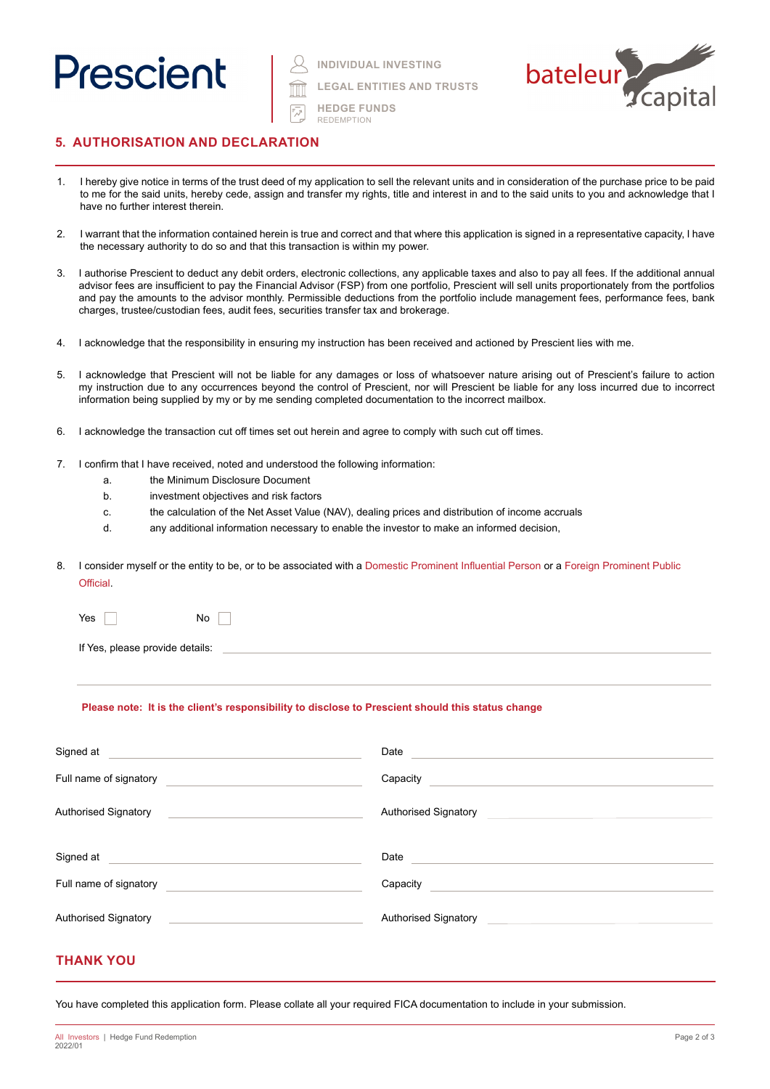

**INDIVIDUAL INVESTING**

**LEGAL ENTITIES AND TRUSTS**

**HEDGE FUNDS**

REDEMPTION



### **5. AUTHORISATION AND DECLARATION**

- 1. I hereby give notice in terms of the trust deed of my application to sell the relevant units and in consideration of the purchase price to be paid to me for the said units, hereby cede, assign and transfer my rights, title and interest in and to the said units to you and acknowledge that I have no further interest therein.
- 2. I warrant that the information contained herein is true and correct and that where this application is signed in a representative capacity, I have the necessary authority to do so and that this transaction is within my power.
- 3. I authorise Prescient to deduct any debit orders, electronic collections, any applicable taxes and also to pay all fees. If the additional annual advisor fees are insufficient to pay the Financial Advisor (FSP) from one portfolio, Prescient will sell units proportionately from the portfolios and pay the amounts to the advisor monthly. Permissible deductions from the portfolio include management fees, performance fees, bank charges, trustee/custodian fees, audit fees, securities transfer tax and brokerage.
- 4. I acknowledge that the responsibility in ensuring my instruction has been received and actioned by Prescient lies with me.
- 5. I acknowledge that Prescient will not be liable for any damages or loss of whatsoever nature arising out of Prescient's failure to action my instruction due to any occurrences beyond the control of Prescient, nor will Prescient be liable for any loss incurred due to incorrect information being supplied by my or by me sending completed documentation to the incorrect mailbox.
- 6. I acknowledge the transaction cut off times set out herein and agree to comply with such cut off times.
- 7. I confirm that I have received, noted and understood the following information:
	- a. the Minimum Disclosure Document
	- b. investment objectives and risk factors
	- c. the calculation of the Net Asset Value (NAV), dealing prices and distribution of income accruals
	- d. any additional information necessary to enable the investor to make an informed decision,
- 8. I consider myself or the entity to be, or to be associated with a Domestic Prominent Influential Person or a Foreign Prominent Public **Official**

| Yes |  |  |  |  |  |  | No |  |
|-----|--|--|--|--|--|--|----|--|
|-----|--|--|--|--|--|--|----|--|

If Yes, please provide details:

#### **Please note: It is the client's responsibility to disclose to Prescient should this status change**

| Signed at                                                                                                            | Date                                               |
|----------------------------------------------------------------------------------------------------------------------|----------------------------------------------------|
| Full name of signatory                                                                                               | Capacity                                           |
| <b>Authorised Signatory</b>                                                                                          | <b>Authorised Signatory</b>                        |
| <u> 1989 - Andrea State Barbara, amerikan personal di sebagai personal di sebagai personal di sebagai personal d</u> |                                                    |
| Signed at                                                                                                            | Date                                               |
| <u> 1989 - Andrea State Barbara, amerikan per</u>                                                                    |                                                    |
| Full name of signatory                                                                                               | Capacity                                           |
| <b>Authorised Signatory</b>                                                                                          | Authorised Signatory                               |
|                                                                                                                      | <u> 1989 - John Stein, Amerikaansk politiker (</u> |

#### **THANK YOU**

You have completed this application form. Please collate all your required FICA documentation to include in your submission.